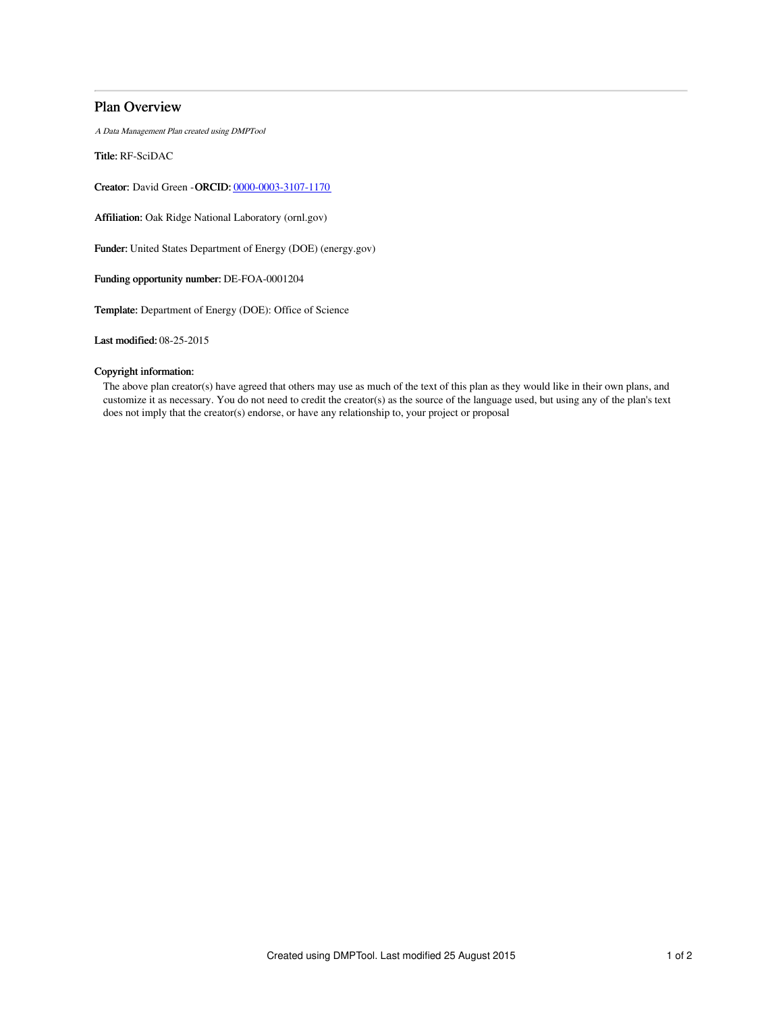## Plan Overview

A Data Management Plan created using DMPTool

Title: RF-SciDAC

Creator: David Green -ORCID: [0000-0003-3107-1170](https://orcid.org/0000-0003-3107-1170)

Affiliation: Oak Ridge National Laboratory (ornl.gov)

Funder: United States Department of Energy (DOE) (energy.gov)

Funding opportunity number: DE-FOA-0001204

Template: Department of Energy (DOE): Office of Science

Last modified: 08-25-2015

## Copyright information:

The above plan creator(s) have agreed that others may use as much of the text of this plan as they would like in their own plans, and customize it as necessary. You do not need to credit the creator(s) as the source of the language used, but using any of the plan's text does not imply that the creator(s) endorse, or have any relationship to, your project or proposal